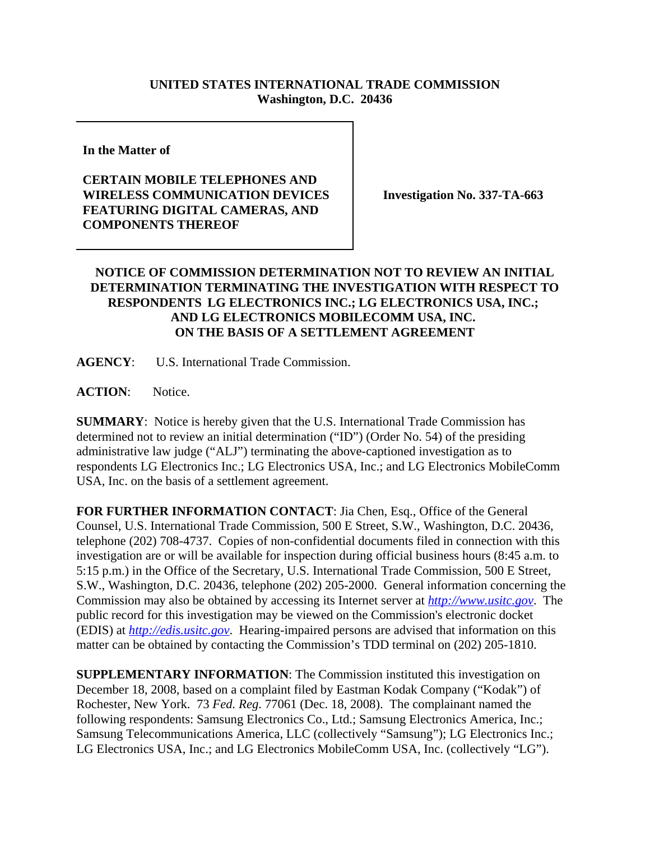## **UNITED STATES INTERNATIONAL TRADE COMMISSION Washington, D.C. 20436**

**In the Matter of** 

## **CERTAIN MOBILE TELEPHONES AND WIRELESS COMMUNICATION DEVICES FEATURING DIGITAL CAMERAS, AND COMPONENTS THEREOF**

**Investigation No. 337-TA-663**

## **NOTICE OF COMMISSION DETERMINATION NOT TO REVIEW AN INITIAL DETERMINATION TERMINATING THE INVESTIGATION WITH RESPECT TO RESPONDENTS LG ELECTRONICS INC.; LG ELECTRONICS USA, INC.; AND LG ELECTRONICS MOBILECOMM USA, INC. ON THE BASIS OF A SETTLEMENT AGREEMENT**

**AGENCY**: U.S. International Trade Commission.

ACTION: Notice.

**SUMMARY**: Notice is hereby given that the U.S. International Trade Commission has determined not to review an initial determination ("ID") (Order No. 54) of the presiding administrative law judge ("ALJ") terminating the above-captioned investigation as to respondents LG Electronics Inc.; LG Electronics USA, Inc.; and LG Electronics MobileComm USA, Inc. on the basis of a settlement agreement.

**FOR FURTHER INFORMATION CONTACT**: Jia Chen, Esq., Office of the General Counsel, U.S. International Trade Commission, 500 E Street, S.W., Washington, D.C. 20436, telephone (202) 708-4737. Copies of non-confidential documents filed in connection with this investigation are or will be available for inspection during official business hours (8:45 a.m. to 5:15 p.m.) in the Office of the Secretary, U.S. International Trade Commission, 500 E Street, S.W., Washington, D.C. 20436, telephone (202) 205-2000. General information concerning the Commission may also be obtained by accessing its Internet server at *http://www.usitc.gov*. The public record for this investigation may be viewed on the Commission's electronic docket (EDIS) at *http://edis.usitc.gov*. Hearing-impaired persons are advised that information on this matter can be obtained by contacting the Commission's TDD terminal on (202) 205-1810.

**SUPPLEMENTARY INFORMATION**: The Commission instituted this investigation on December 18, 2008, based on a complaint filed by Eastman Kodak Company ("Kodak") of Rochester, New York. 73 *Fed. Reg*. 77061 (Dec. 18, 2008). The complainant named the following respondents: Samsung Electronics Co., Ltd.; Samsung Electronics America, Inc.; Samsung Telecommunications America, LLC (collectively "Samsung"); LG Electronics Inc.; LG Electronics USA, Inc.; and LG Electronics MobileComm USA, Inc. (collectively "LG").